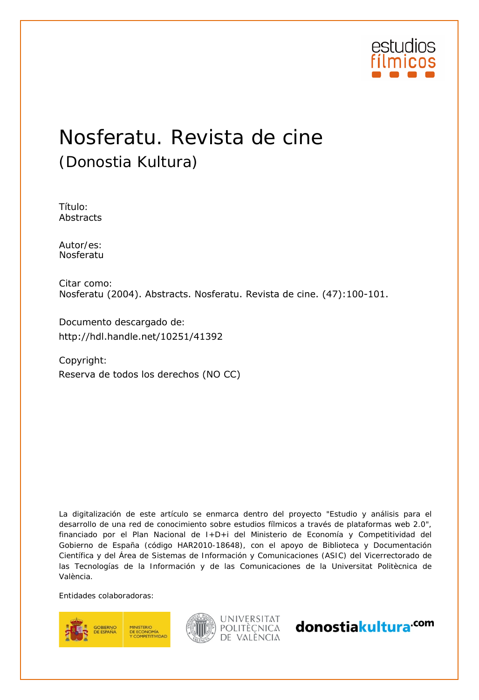

## Nosferatu. Revista de cine (Donostia Kultura)

Título: Abstracts

Autor/es:<br>Nosferatu

Citar como: Nosferatu (2004). Abstracts. Nosferatu. Revista de cine. (47):100-101.

Documento descargado de:

Copyright: http://hdl.handle.net/10251/41392<br>Copyright:<br>Reserva de todos los derechos (NO CC)

La digitalización de este artículo se enmarca dentro del proyecto "Estudio y análisis para el desarrollo de una red de conocimiento sobre estudios fílmicos a través de plataformas web 2.0", financiado por el Plan Nacional de I+D+i del Ministerio de Economía y Competitividad del Gobierno de España (código HAR2010-18648), con el apoyo de Biblioteca y Documentación Científica y del Área de Sistemas de Información y Comunicaciones (ASIC) del Vicerrectorado de las Tecnologías de la Información y de las Comunicaciones de la Universitat Politècnica de València.

Entidades colaboradoras:





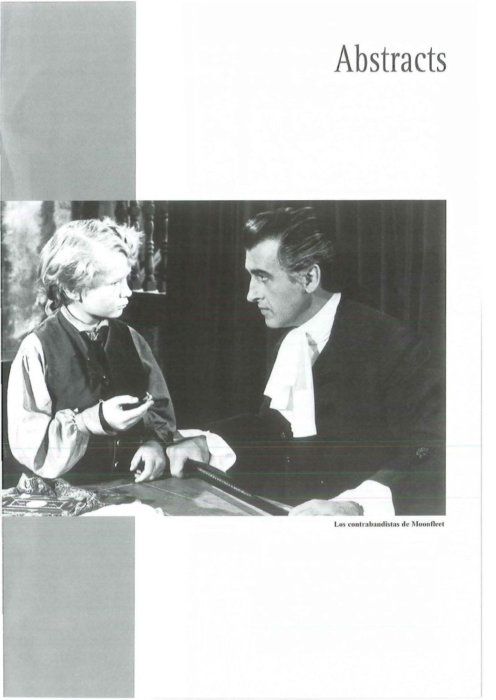# Abstracts



Los contrabandistas de Moonfleet